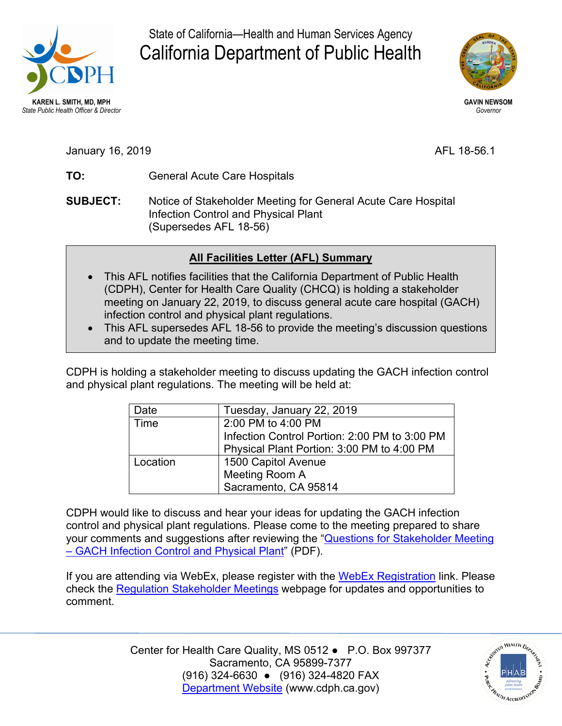

State of California—Health and Human Services Agency California Department of Public Health



January 16, 2019 **AFL 18-56.1** 

- **TO:** General Acute Care Hospitals
- **SUBJECT:** Notice of Stakeholder Meeting for General Acute Care Hospital Infection Control and Physical Plant (Supersedes AFL 18-56)

## **All Facilities Letter (AFL) Summary**

- This AFL notifies facilities that the California Department of Public Health (CDPH), Center for Health Care Quality (CHCQ) is holding a stakeholder meeting on January 22, 2019, to discuss general acute care hospital (GACH) infection control and physical plant regulations.
- This AFL supersedes AFL 18-56 to provide the meeting's discussion questions and to update the meeting time.

CDPH is holding a stakeholder meeting to discuss updating the GACH infection control and physical plant regulations. The meeting will be held at:

| Date     | Tuesday, January 22, 2019                     |
|----------|-----------------------------------------------|
| Time     | 2:00 PM to 4:00 PM                            |
|          | Infection Control Portion: 2:00 PM to 3:00 PM |
|          | Physical Plant Portion: 3:00 PM to 4:00 PM    |
| Location | 1500 Capitol Avenue                           |
|          | Meeting Room A                                |
|          | Sacramento, CA 95814                          |

CDPH would like to discuss and hear your ideas for updating the GACH infection control and physical plant regulations. Please come to the meeting prepared to share your comments and suggestions after reviewing the "**Questions for Stakeholder Meeting** [– GACH Infection Control and Physical Plant"](https://www.cdph.ca.gov/Programs/CHCQ/LCP/CDPH%20Document%20Library/Stakeholder-Questions-GACH-IC-PP-1-22-19.pdf) (PDF).

If you are attending via WebEx, please register with the [WebEx Registration](https://cdph-conf.webex.com/mw3300/mywebex/default.do?nomenu=true&siteurl=cdph-conf&service=6&rnd=0.3307545585434256&main_url=https%3A%2F%2Fcdph-conf.webex.com%2Fec3300%2Feventcenter%2Fevent%2FeventAction.do%3FtheAction%3Ddetail%26%26%26EMK%3D4832534b00000004519cc5841229a18a2a0086ea1f85c50867b130eacf5dadff719a647fc693f5a2%26siteurl%3Dcdph-conf%26confViewID%3D112968013743925282%26encryptTicket%3DSDJTSwAAAARYhgMuMhYiEeZzBALTW1hPJuLfqRUsA7eZ9al7Vbp0ow2%26) link. Please check the [Regulation Stakeholder Meetings](https://www.cdph.ca.gov/Programs/CHCQ/LCP/Pages/Regulation-Stakeholder-Meetings.aspx) webpage for updates and opportunities to comment.

> Center for Health Care Quality, MS 0512 ● P.O. Box 997377 (916) 324-6630 ● (916) 324-4820 FAX Sacramento, CA 95899-7377 [Department Website](http://www.cdph.ca.gov/) [\(www.cdph.ca.gov](www.cdph.ca.gov))